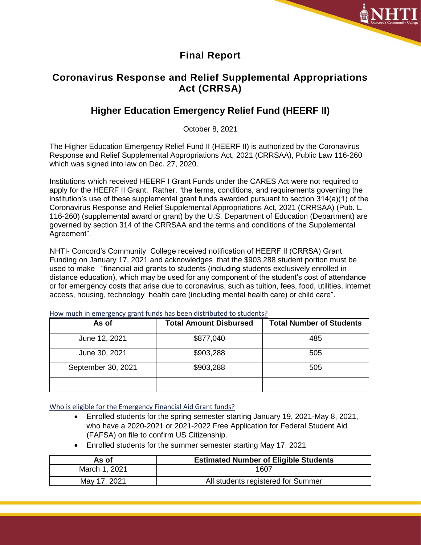

### **Final Report**

# **Coronavirus Response and Relief Supplemental Appropriations Act (CRRSA)**

# **Higher Education Emergency Relief Fund (HEERF II)**

October 8, 2021

The Higher Education Emergency Relief Fund II (HEERF II) is authorized by the Coronavirus Response and Relief Supplemental Appropriations Act, 2021 (CRRSAA), Public Law 116-260 which was signed into law on Dec. 27, 2020.

Institutions which received HEERF I Grant Funds under the CARES Act were not required to apply for the HEERF II Grant. Rather, "the terms, conditions, and requirements governing the institution's use of these supplemental grant funds awarded pursuant to section 314(a)(1) of the Coronavirus Response and Relief Supplemental Appropriations Act, 2021 (CRRSAA) (Pub. L. 116-260) (supplemental award or grant) by the U.S. Department of Education (Department) are governed by section 314 of the CRRSAA and the terms and conditions of the Supplemental Agreement".

NHTI- Concord's Community College received notification of HEERF II (CRRSA) Grant Funding on January 17, 2021 and acknowledges that the \$903,288 student portion must be used to make "financial aid grants to students (including students exclusively enrolled in distance education), which may be used for any component of the student's cost of attendance or for emergency costs that arise due to coronavirus, such as tuition, fees, food, utilities, internet access, housing, technology health care (including mental health care) or child care".

| As of              | <b>Total Amount Disbursed</b> | <b>Total Number of Students</b> |
|--------------------|-------------------------------|---------------------------------|
| June 12, 2021      | \$877,040                     | 485                             |
| June 30, 2021      | \$903,288                     | 505                             |
| September 30, 2021 | \$903,288                     | 505                             |
|                    |                               |                                 |

How much in emergency grant funds has been distributed to students?

Who is eligible for the Emergency Financial Aid Grant funds?

- Enrolled students for the spring semester starting January 19, 2021-May 8, 2021, who have a 2020-2021 or 2021-2022 Free Application for Federal Student Aid (FAFSA) on file to confirm US Citizenship.
- Enrolled students for the summer semester starting May 17, 2021

| As of         | <b>Estimated Number of Eligible Students</b> |  |
|---------------|----------------------------------------------|--|
| March 1, 2021 | 1607                                         |  |
| May 17, 2021  | All students registered for Summer           |  |